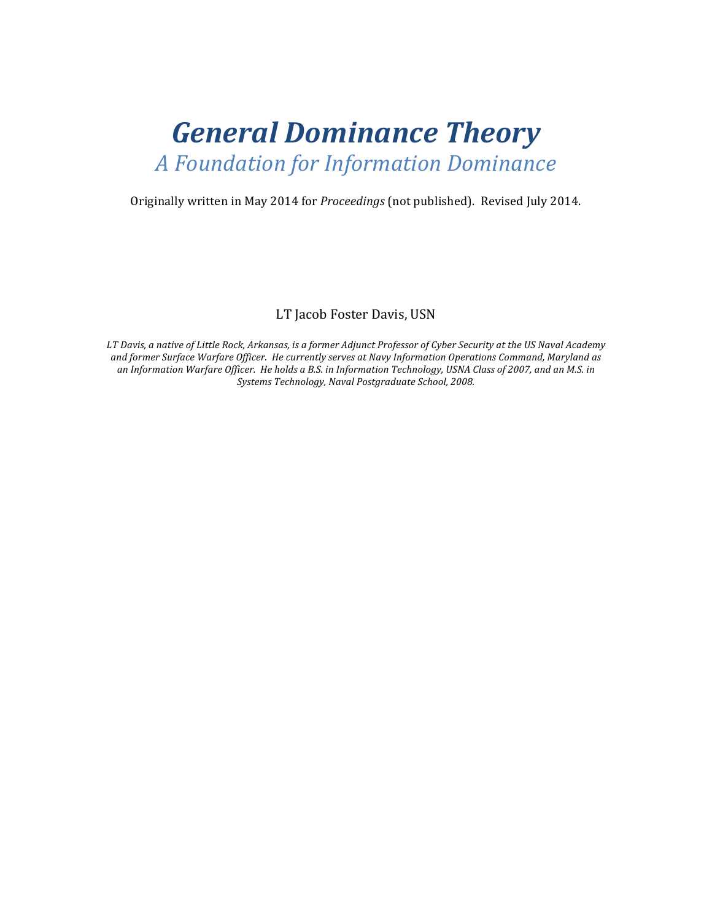# *General Dominance Theory A Foundation for Information Dominance*

Originally written in May 2014 for *Proceedings* (not published). Revised July 2014.

LT Jacob Foster Davis, USN

*LT* Davis, a native of Little Rock, Arkansas, is a former Adjunct Professor of Cyber Security at the US Naval Academy and former Surface Warfare Officer. He currently serves at Navy Information Operations Command, Maryland as an Information Warfare Officer. He holds a B.S. in Information Technology, USNA Class of 2007, and an M.S. in Systems Technology, Naval Postgraduate School, 2008.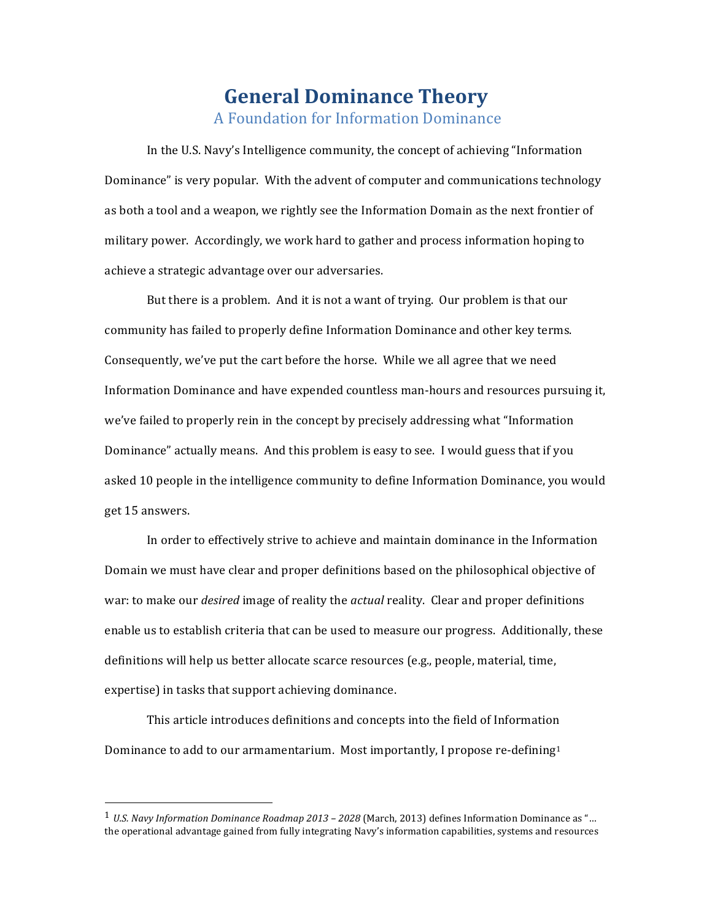# **General Dominance Theory** A Foundation for Information Dominance

In the U.S. Navy's Intelligence community, the concept of achieving "Information" Dominance" is very popular. With the advent of computer and communications technology as both a tool and a weapon, we rightly see the Information Domain as the next frontier of military power. Accordingly, we work hard to gather and process information hoping to achieve a strategic advantage over our adversaries.

But there is a problem. And it is not a want of trying. Our problem is that our community has failed to properly define Information Dominance and other key terms. Consequently, we've put the cart before the horse. While we all agree that we need Information Dominance and have expended countless man-hours and resources pursuing it, we've failed to properly rein in the concept by precisely addressing what "Information" Dominance" actually means. And this problem is easy to see. I would guess that if you asked 10 people in the intelligence community to define Information Dominance, you would get 15 answers.

In order to effectively strive to achieve and maintain dominance in the Information Domain we must have clear and proper definitions based on the philosophical objective of war: to make our *desired* image of reality the *actual* reality. Clear and proper definitions enable us to establish criteria that can be used to measure our progress. Additionally, these definitions will help us better allocate scarce resources  $(e.g.,$  people, material, time, expertise) in tasks that support achieving dominance.

This article introduces definitions and concepts into the field of Information Dominance to add to our armamentarium. Most importantly, I propose re-defining<sup>1</sup>

 

<sup>1</sup> *U.S. Navy Information Dominance Roadmap 2013 – 2028* (March, 2013) defines Information Dominance as "… the operational advantage gained from fully integrating Navy's information capabilities, systems and resources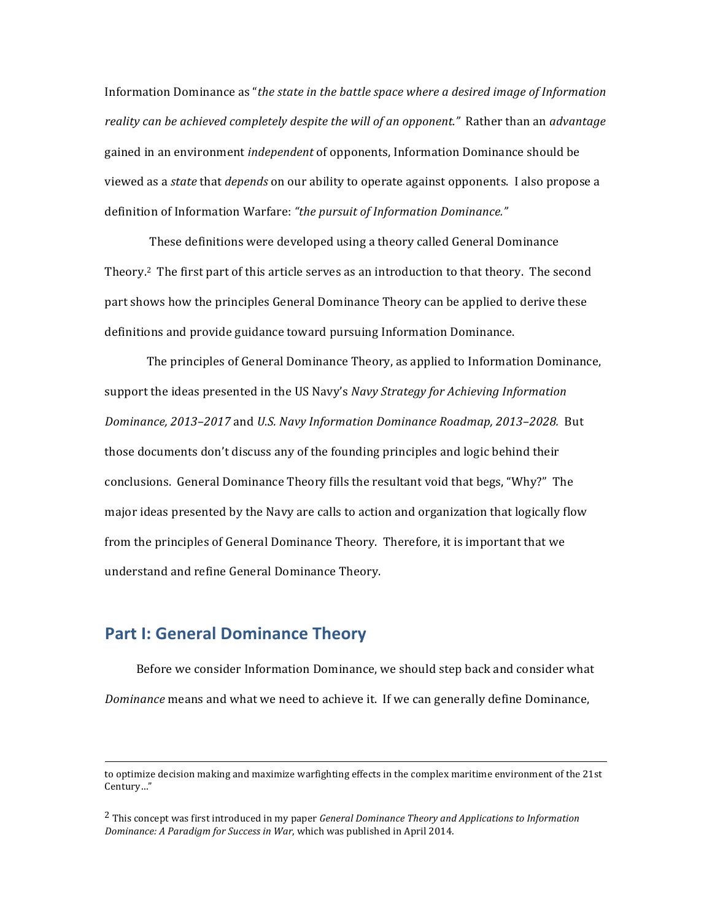Information Dominance as "*the state in the battle space where a desired image of Information* reality can be achieved completely despite the will of an opponent." Rather than an advantage gained in an environment *independent* of opponents, Information Dominance should be viewed as a *state* that *depends* on our ability to operate against opponents. I also propose a definition of Information Warfare: "the pursuit of Information Dominance."

These definitions were developed using a theory called General Dominance Theory.<sup>2</sup> The first part of this article serves as an introduction to that theory. The second part shows how the principles General Dominance Theory can be applied to derive these definitions and provide guidance toward pursuing Information Dominance.

The principles of General Dominance Theory, as applied to Information Dominance, support the ideas presented in the US Navy's *Navy Strategy for Achieving Information Dominance, 2013–2017* and *U.S. Navy Information Dominance Roadmap, 2013–2028.* But those documents don't discuss any of the founding principles and logic behind their conclusions. General Dominance Theory fills the resultant void that begs, "Why?" The major ideas presented by the Navy are calls to action and organization that logically flow from the principles of General Dominance Theory. Therefore, it is important that we understand and refine General Dominance Theory.

### **Part I: General Dominance Theory**

Before we consider Information Dominance, we should step back and consider what *Dominance* means and what we need to achieve it. If we can generally define Dominance,

<sup>&</sup>lt;u> 1989 - Andrea Santa Andrea Andrea Andrea Andrea Andrea Andrea Andrea Andrea Andrea Andrea Andrea Andrea Andr</u> to optimize decision making and maximize warfighting effects in the complex maritime environment of the 21st Century…" 

<sup>&</sup>lt;sup>2</sup> This concept was first introduced in my paper *General Dominance Theory and Applications to Information Dominance: A Paradigm for Success in War*, which was published in April 2014.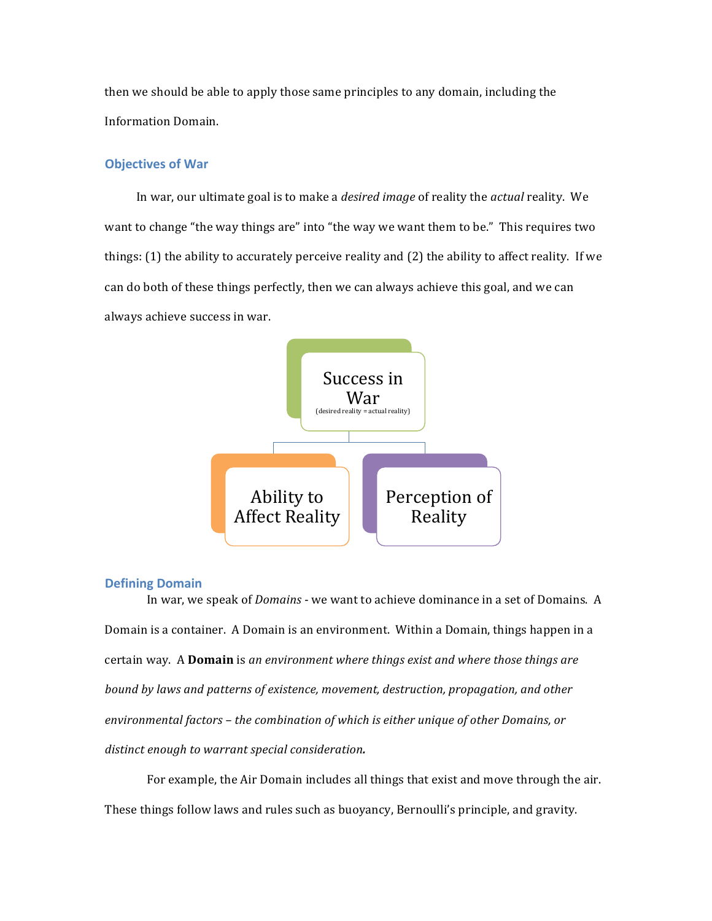then we should be able to apply those same principles to any domain, including the Information Domain.

#### **Objectives of War**

In war, our ultimate goal is to make a *desired image* of reality the *actual* reality. We want to change "the way things are" into "the way we want them to be." This requires two things:  $(1)$  the ability to accurately perceive reality and  $(2)$  the ability to affect reality. If we can do both of these things perfectly, then we can always achieve this goal, and we can always achieve success in war.



#### **Defining Domain**

In war, we speak of *Domains* - we want to achieve dominance in a set of Domains. A Domain is a container. A Domain is an environment. Within a Domain, things happen in a certain way. A **Domain** is an environment where things exist and where those things are *bound by laws and patterns of existence, movement, destruction, propagation, and other* environmental factors – the combination of which is either unique of other Domains, or distinct enough to warrant special consideration.

For example, the Air Domain includes all things that exist and move through the air. These things follow laws and rules such as buoyancy, Bernoulli's principle, and gravity.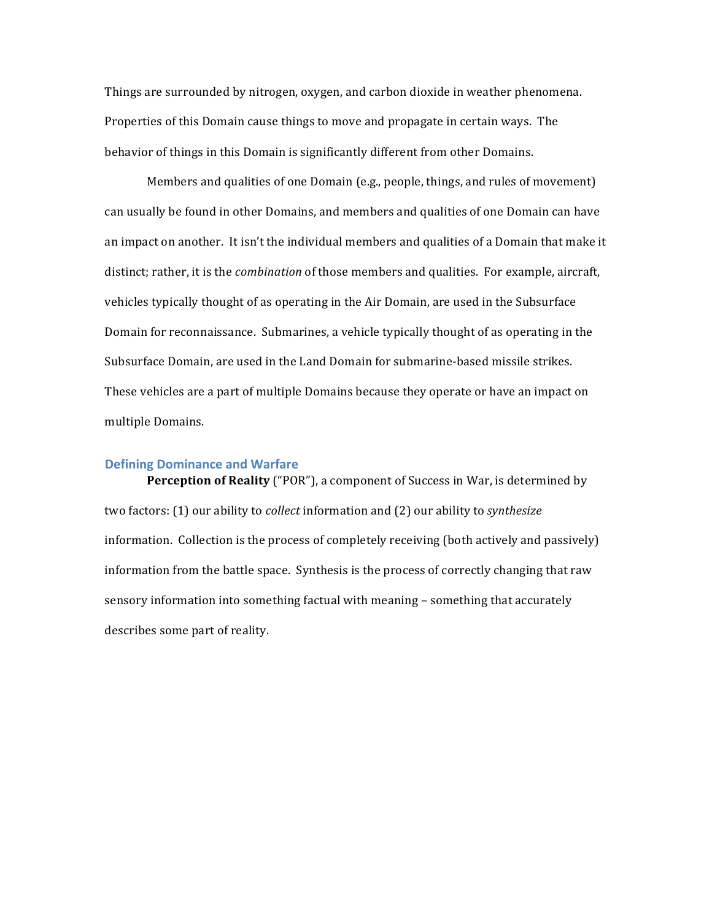Things are surrounded by nitrogen, oxygen, and carbon dioxide in weather phenomena. Properties of this Domain cause things to move and propagate in certain ways. The behavior of things in this Domain is significantly different from other Domains.

Members and qualities of one Domain (e.g., people, things, and rules of movement) can usually be found in other Domains, and members and qualities of one Domain can have an impact on another. It isn't the individual members and qualities of a Domain that make it distinct; rather, it is the *combination* of those members and qualities. For example, aircraft, vehicles typically thought of as operating in the Air Domain, are used in the Subsurface Domain for reconnaissance. Submarines, a vehicle typically thought of as operating in the Subsurface Domain, are used in the Land Domain for submarine-based missile strikes. These vehicles are a part of multiple Domains because they operate or have an impact on multiple Domains.

#### **Defining Dominance and Warfare**

**Perception of Reality** ("POR"), a component of Success in War, is determined by two factors: (1) our ability to *collect* information and (2) our ability to *synthesize* information. Collection is the process of completely receiving (both actively and passively) information from the battle space. Synthesis is the process of correctly changing that raw sensory information into something factual with meaning - something that accurately describes some part of reality.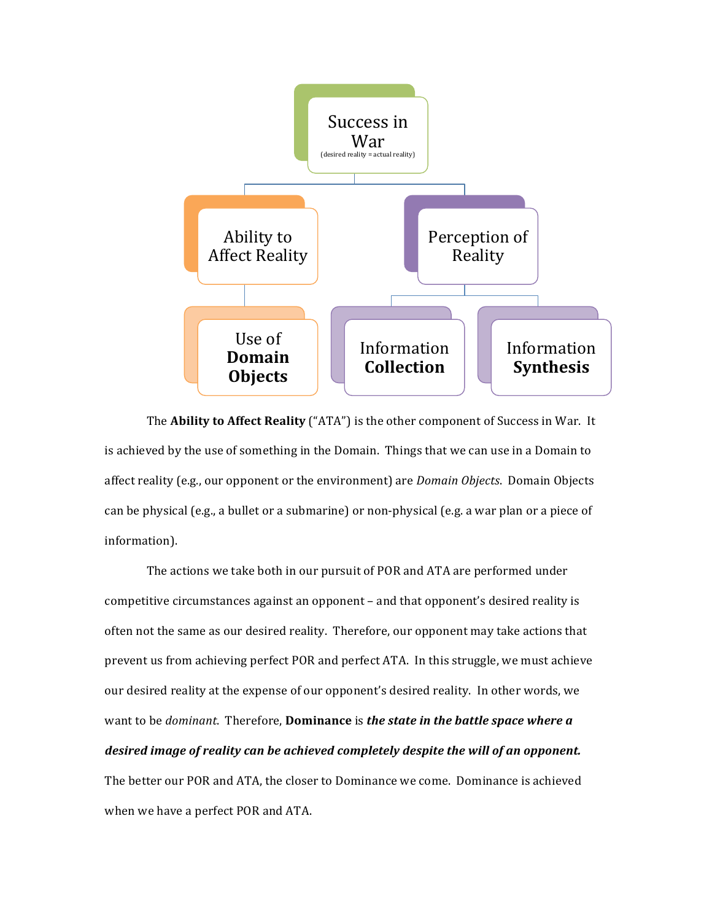

The **Ability to Affect Reality** ("ATA") is the other component of Success in War. It is achieved by the use of something in the Domain. Things that we can use in a Domain to affect reality (e.g., our opponent or the environment) are *Domain Objects*. Domain Objects can be physical (e.g., a bullet or a submarine) or non-physical (e.g. a war plan or a piece of information).

The actions we take both in our pursuit of POR and ATA are performed under competitive circumstances against an opponent - and that opponent's desired reality is often not the same as our desired reality. Therefore, our opponent may take actions that prevent us from achieving perfect POR and perfect ATA. In this struggle, we must achieve our desired reality at the expense of our opponent's desired reality. In other words, we want to be *dominant*. Therefore, **Dominance** is *the state in the battle space where a desired image of reality can be achieved completely despite the will of an opponent.* The better our POR and ATA, the closer to Dominance we come. Dominance is achieved when we have a perfect POR and ATA.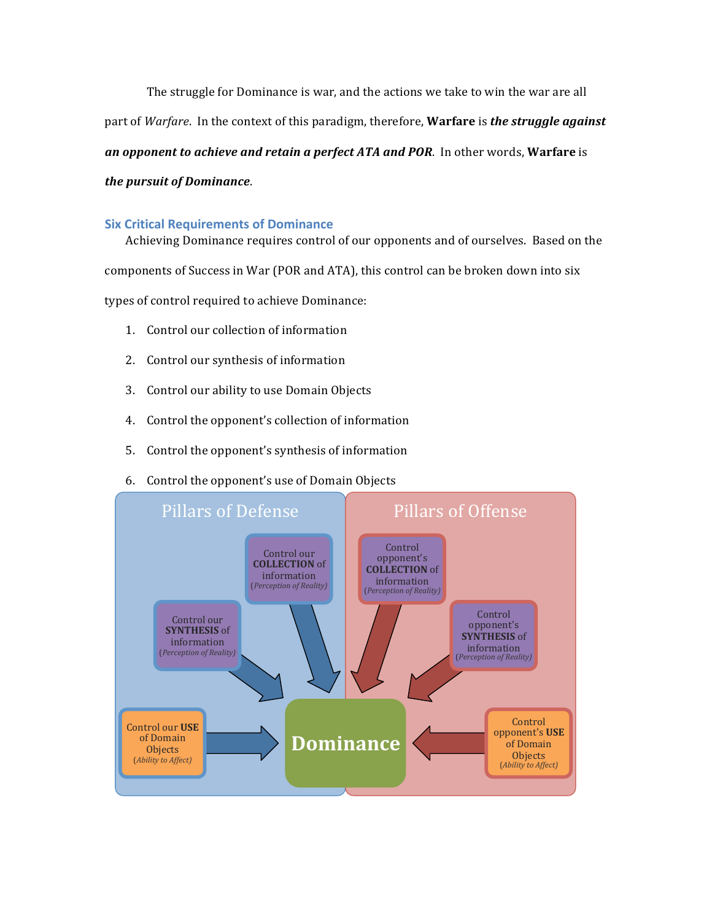The struggle for Dominance is war, and the actions we take to win the war are all part of *Warfare*. In the context of this paradigm, therefore, **Warfare** is *the struggle against an opponent to achieve and retain a perfect ATA and POR.* **In other words, Warfare is** *the pursuit of Dominance.* 

### **Six Critical Requirements of Dominance**

Achieving Dominance requires control of our opponents and of ourselves. Based on the components of Success in War (POR and ATA), this control can be broken down into six types of control required to achieve Dominance:

- 1. Control our collection of information
- 2. Control our synthesis of information
- 3. Control our ability to use Domain Objects
- 4. Control the opponent's collection of information
- 5. Control the opponent's synthesis of information
- 6. Control the opponent's use of Domain Objects

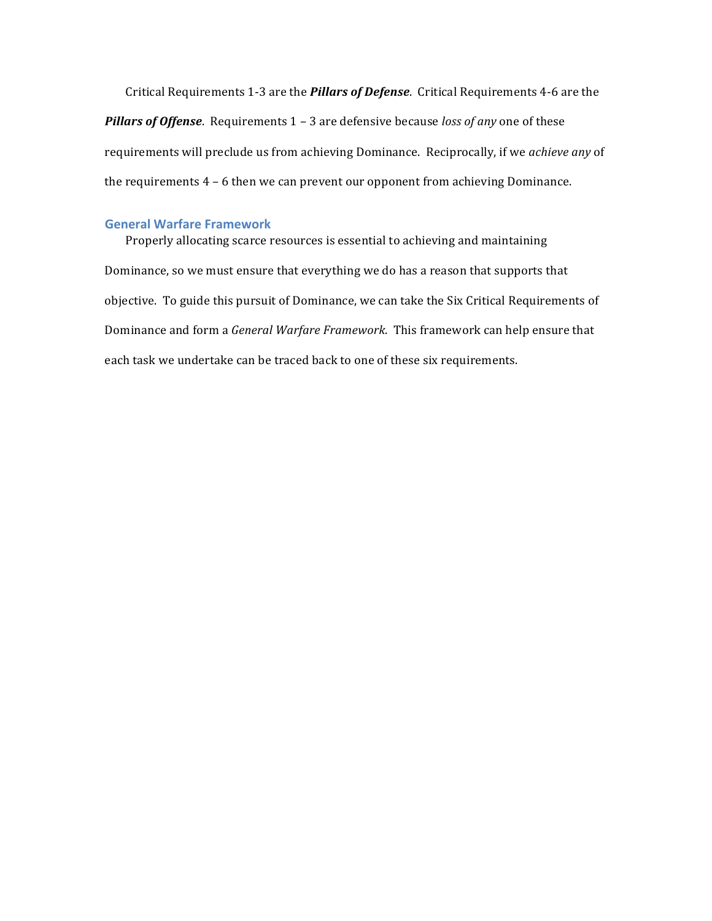Critical Requirements 1-3 are the *Pillars of Defense*. Critical Requirements 4-6 are the **Pillars of Offense**. Requirements 1 - 3 are defensive because *loss of any* one of these requirements will preclude us from achieving Dominance. Reciprocally, if we *achieve any* of the requirements  $4 - 6$  then we can prevent our opponent from achieving Dominance.

#### **General Warfare Framework**

Properly allocating scarce resources is essential to achieving and maintaining Dominance, so we must ensure that everything we do has a reason that supports that objective. To guide this pursuit of Dominance, we can take the Six Critical Requirements of Dominance and form a *General Warfare Framework*. This framework can help ensure that each task we undertake can be traced back to one of these six requirements.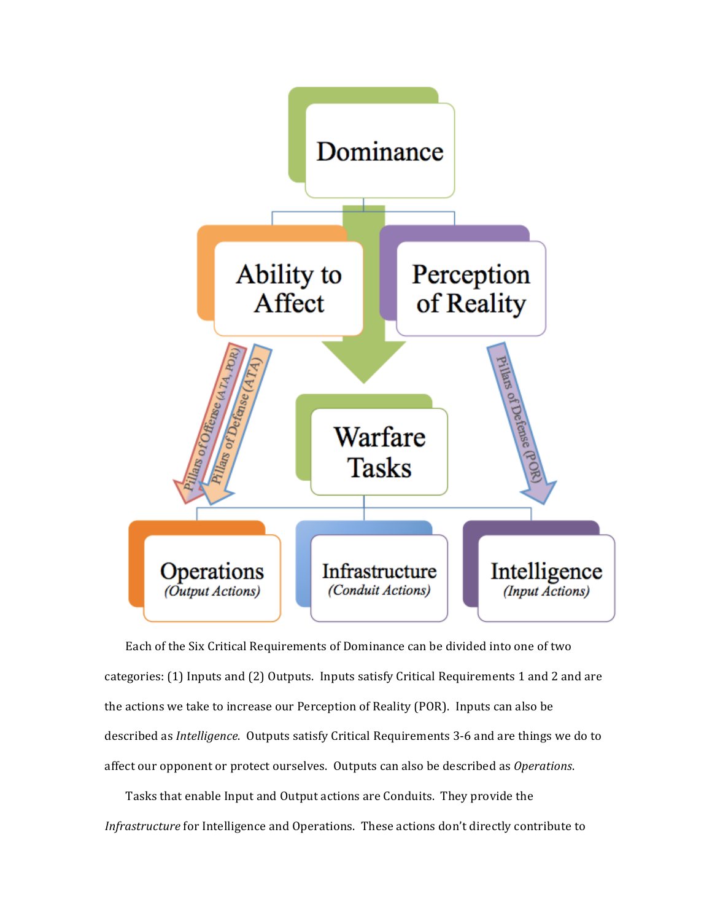

Each of the Six Critical Requirements of Dominance can be divided into one of two categories: (1) Inputs and (2) Outputs. Inputs satisfy Critical Requirements 1 and 2 and are the actions we take to increase our Perception of Reality (POR). Inputs can also be described as *Intelligence*. Outputs satisfy Critical Requirements 3-6 and are things we do to affect our opponent or protect ourselves. Outputs can also be described as *Operations*.

Tasks that enable Input and Output actions are Conduits. They provide the *Infrastructure* for Intelligence and Operations. These actions don't directly contribute to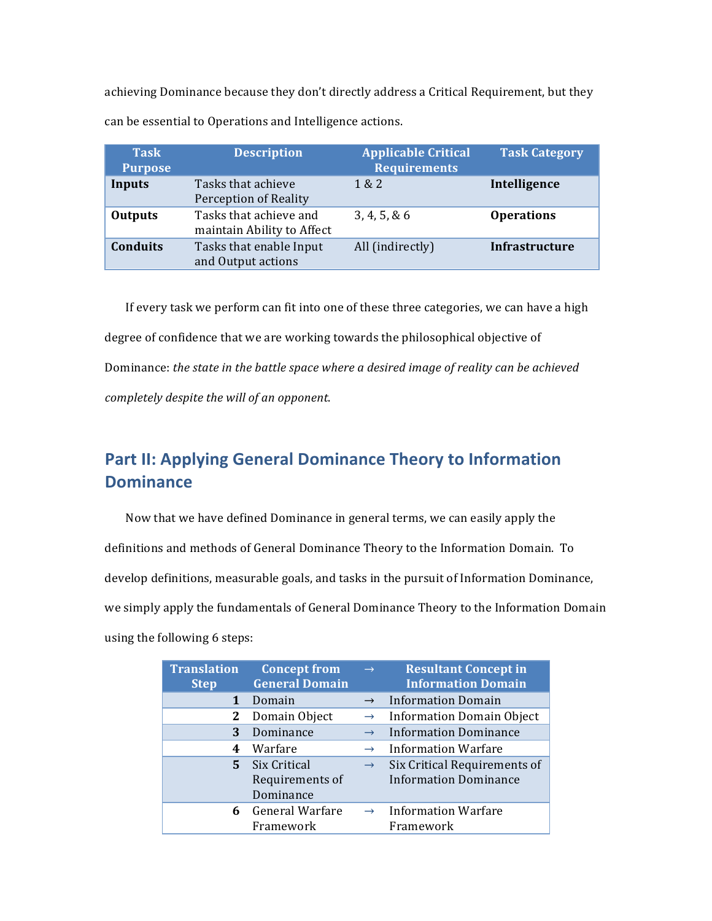achieving Dominance because they don't directly address a Critical Requirement, but they can be essential to Operations and Intelligence actions.

| <b>Task</b><br><b>Purpose</b> | <b>Description</b>                                   | <b>Applicable Critical</b><br><b>Requirements</b> | <b>Task Category</b>  |
|-------------------------------|------------------------------------------------------|---------------------------------------------------|-----------------------|
| Inputs                        | Tasks that achieve<br>Perception of Reality          | 1 & 2                                             | Intelligence          |
| <b>Outputs</b>                | Tasks that achieve and<br>maintain Ability to Affect | 3, 4, 5, 8, 6                                     | <b>Operations</b>     |
| <b>Conduits</b>               | Tasks that enable Input<br>and Output actions        | All (indirectly)                                  | <b>Infrastructure</b> |

If every task we perform can fit into one of these three categories, we can have a high degree of confidence that we are working towards the philosophical objective of Dominance: the state in the battle space where a desired image of reality can be achieved *completely despite the will of an opponent.* 

# **Part II: Applying General Dominance Theory to Information Dominance**

Now that we have defined Dominance in general terms, we can easily apply the definitions and methods of General Dominance Theory to the Information Domain. To develop definitions, measurable goals, and tasks in the pursuit of Information Dominance, we simply apply the fundamentals of General Dominance Theory to the Information Domain using the following 6 steps:

| <b>Translation</b><br><b>Step</b> | <b>Concept from</b><br><b>General Domain</b> | $\rightarrow$ | <b>Resultant Concept in</b><br><b>Information Domain</b>     |
|-----------------------------------|----------------------------------------------|---------------|--------------------------------------------------------------|
| $\mathbf{1}$                      | Domain                                       | $\rightarrow$ | <b>Information Domain</b>                                    |
| 2                                 | Domain Object                                | $\rightarrow$ | <b>Information Domain Object</b>                             |
| 3                                 | Dominance                                    | $\rightarrow$ | <b>Information Dominance</b>                                 |
| 4                                 | Warfare                                      | $\rightarrow$ | <b>Information Warfare</b>                                   |
| 5.                                | Six Critical<br>Requirements of<br>Dominance | $\rightarrow$ | Six Critical Requirements of<br><b>Information Dominance</b> |
| 6                                 | General Warfare<br>Framework                 | $\rightarrow$ | <b>Information Warfare</b><br>Framework                      |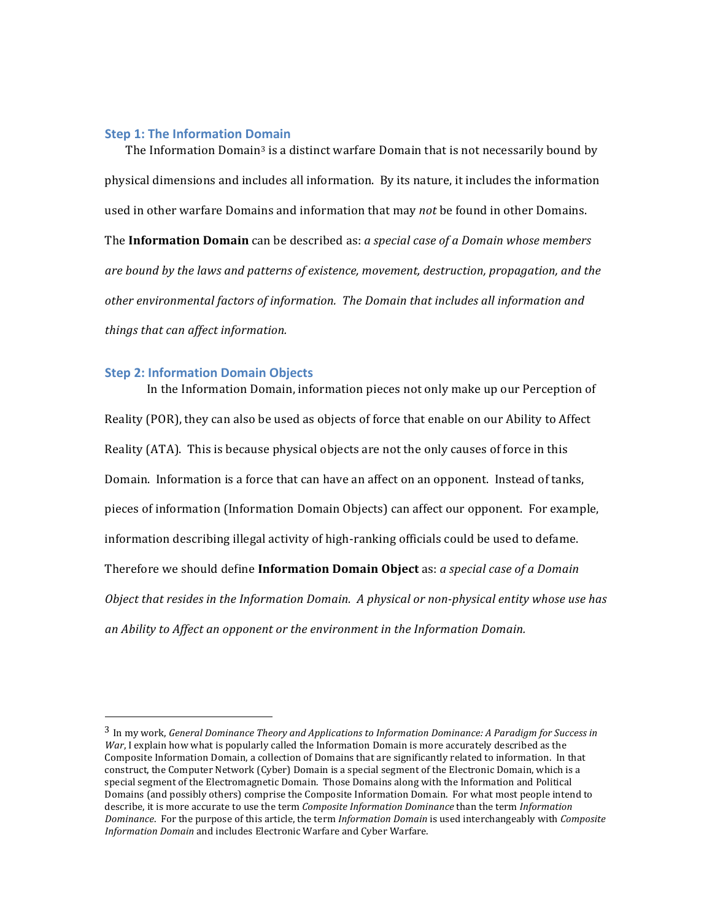#### **Step 1: The Information Domain**

The Information Domain<sup>3</sup> is a distinct warfare Domain that is not necessarily bound by physical dimensions and includes all information. By its nature, it includes the information used in other warfare Domains and information that may *not* be found in other Domains. The **Information Domain** can be described as: *a special case of a Domain whose members* are bound by the laws and patterns of existence, movement, destruction, propagation, and the other environmental factors of information. The Domain that includes all information and *things that can affect information.* 

#### **Step 2: Information Domain Objects**

 

In the Information Domain, information pieces not only make up our Perception of Reality (POR), they can also be used as objects of force that enable on our Ability to Affect Reality (ATA). This is because physical objects are not the only causes of force in this Domain. Information is a force that can have an affect on an opponent. Instead of tanks, pieces of information (Information Domain Objects) can affect our opponent. For example, information describing illegal activity of high-ranking officials could be used to defame. Therefore we should define **Information Domain Object** as: *a special case of a Domain Object that resides in the Information Domain. A physical or non-physical entity whose use has an Ability to Affect an opponent or the environment in the Information Domain.*

<sup>&</sup>lt;sup>3</sup> In my work, *General Dominance Theory and Applications to Information Dominance: A Paradigm for Success in War*, I explain how what is popularly called the Information Domain is more accurately described as the Composite Information Domain, a collection of Domains that are significantly related to information. In that construct, the Computer Network (Cyber) Domain is a special segment of the Electronic Domain, which is a special segment of the Electromagnetic Domain. Those Domains along with the Information and Political Domains (and possibly others) comprise the Composite Information Domain. For what most people intend to describe, it is more accurate to use the term *Composite Information Dominance* than the term *Information Dominance*. For the purpose of this article, the term *Information Domain* is used interchangeably with *Composite Information Domain* and includes Electronic Warfare and Cyber Warfare.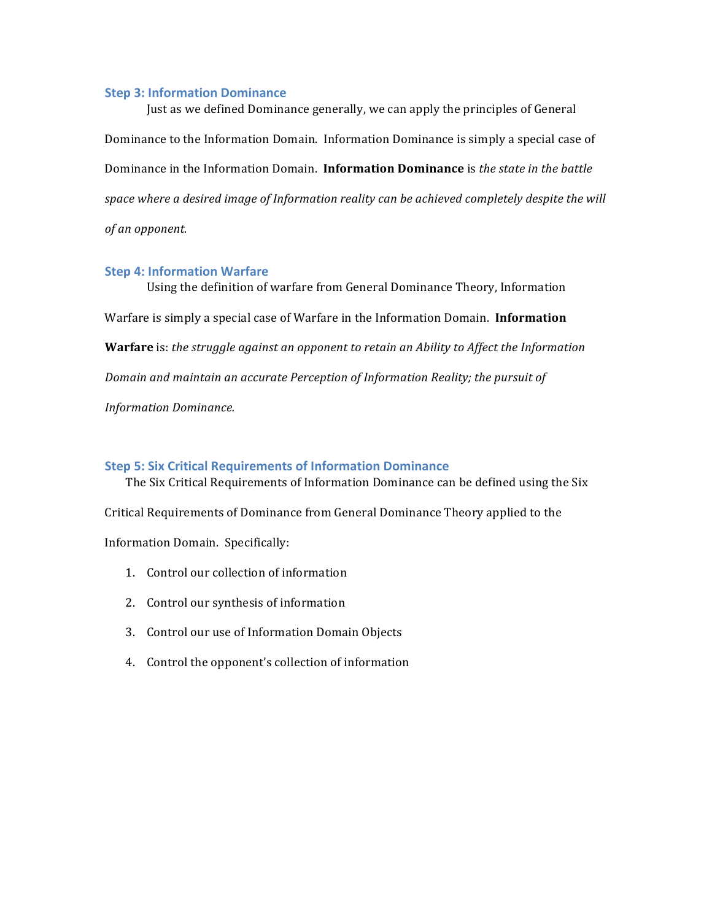#### **Step 3: Information Dominance**

Just as we defined Dominance generally, we can apply the principles of General Dominance to the Information Domain. Information Dominance is simply a special case of Dominance in the Information Domain. **Information Dominance** is *the state in the battle* space where a desired image of Information reality can be achieved completely despite the will *of an opponent.*

#### **Step 4: Information Warfare**

Using the definition of warfare from General Dominance Theory, Information Warfare is simply a special case of Warfare in the Information Domain. **Information Warfare** is: the struggle against an opponent to retain an Ability to Affect the Information *Domain and maintain an accurate Perception of Information Reality; the pursuit of Information Dominance.*

#### **Step 5: Six Critical Requirements of Information Dominance**

The Six Critical Requirements of Information Dominance can be defined using the Six Critical Requirements of Dominance from General Dominance Theory applied to the Information Domain. Specifically:

- 1. Control our collection of information
- 2. Control our synthesis of information
- 3. Control our use of Information Domain Objects
- 4. Control the opponent's collection of information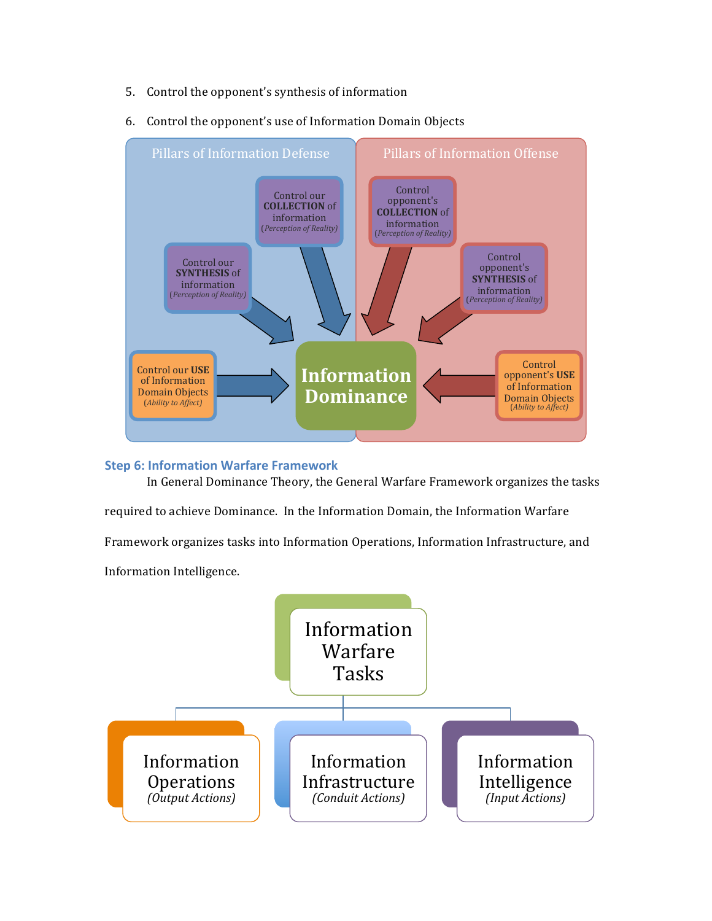5. Control the opponent's synthesis of information



6. Control the opponent's use of Information Domain Objects

# **Step 6: Information Warfare Framework**

In General Dominance Theory, the General Warfare Framework organizes the tasks required to achieve Dominance. In the Information Domain, the Information Warfare Framework organizes tasks into Information Operations, Information Infrastructure, and Information Intelligence.

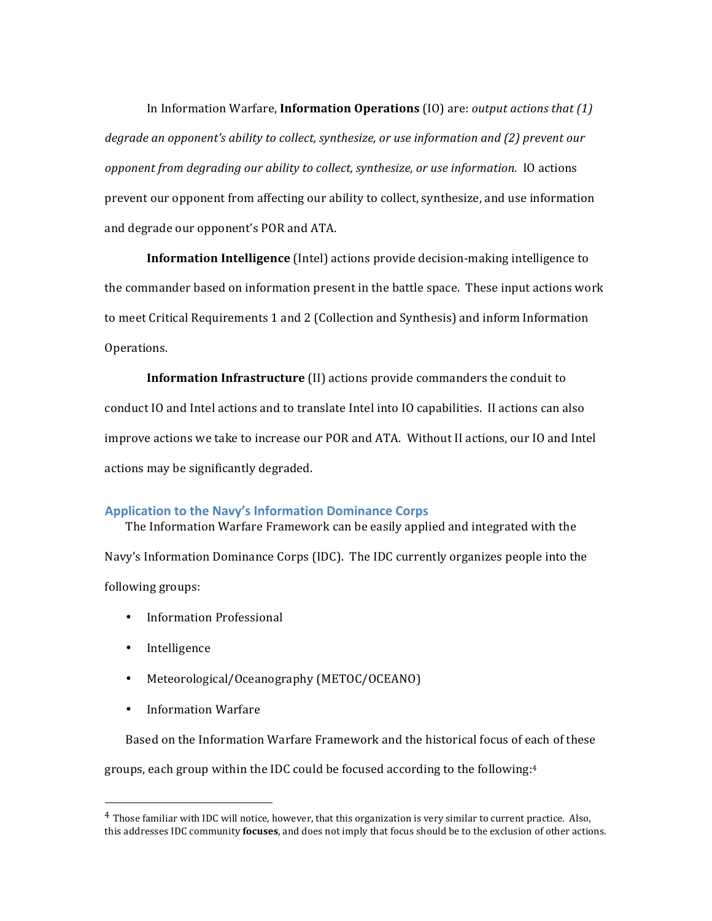In Information Warfare, **Information Operations** (IO) are: *output actions that* (1) *degrade an opponent's ability to collect, synthesize, or use information and (2) prevent our opponent from degrading our ability to collect, synthesize, or use information.* IO actions prevent our opponent from affecting our ability to collect, synthesize, and use information and degrade our opponent's POR and ATA.

**Information Intelligence** (Intel) actions provide decision-making intelligence to the commander based on information present in the battle space. These input actions work to meet Critical Requirements 1 and 2 (Collection and Synthesis) and inform Information Operations.

**Information Infrastructure** (II) actions provide commanders the conduit to conduct IO and Intel actions and to translate Intel into IO capabilities. II actions can also improve actions we take to increase our POR and ATA. Without II actions, our IO and Intel actions may be significantly degraded.

#### Application to the Navy's Information Dominance Corps

The Information Warfare Framework can be easily applied and integrated with the Navy's Information Dominance Corps (IDC). The IDC currently organizes people into the following groups:

- Information Professional
- Intelligence
- Meteorological/Oceanography (METOC/OCEANO)
- Information Warfare

 

Based on the Information Warfare Framework and the historical focus of each of these groups, each group within the IDC could be focused according to the following: $4$ 

 $4$  Those familiar with IDC will notice, however, that this organization is very similar to current practice. Also, this addresses IDC community **focuses**, and does not imply that focus should be to the exclusion of other actions.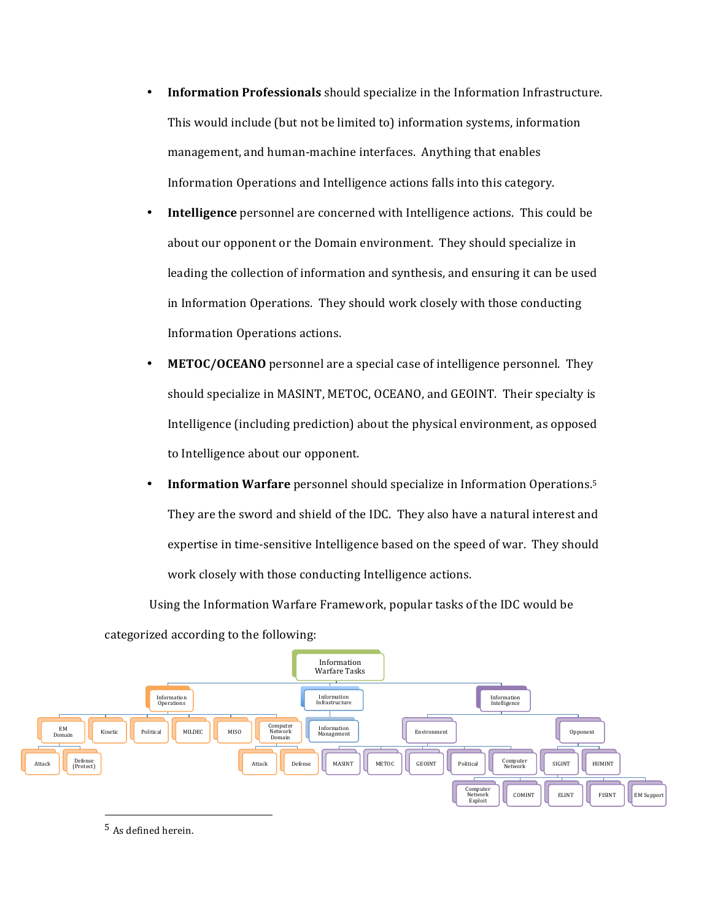- Information Professionals should specialize in the Information Infrastructure. This would include (but not be limited to) information systems, information management, and human-machine interfaces. Anything that enables Information Operations and Intelligence actions falls into this category.
- **Intelligence** personnel are concerned with Intelligence actions. This could be about our opponent or the Domain environment. They should specialize in leading the collection of information and synthesis, and ensuring it can be used in Information Operations. They should work closely with those conducting Information Operations actions.
- METOC/OCEANO personnel are a special case of intelligence personnel. They should specialize in MASINT, METOC, OCEANO, and GEOINT. Their specialty is Intelligence (including prediction) about the physical environment, as opposed to Intelligence about our opponent.
- Information Warfare personnel should specialize in Information Operations.<sup>5</sup> They are the sword and shield of the IDC. They also have a natural interest and expertise in time-sensitive Intelligence based on the speed of war. They should work closely with those conducting Intelligence actions.

Using the Information Warfare Framework, popular tasks of the IDC would be



categorized according to the following:

<sup>5</sup> As defined herein.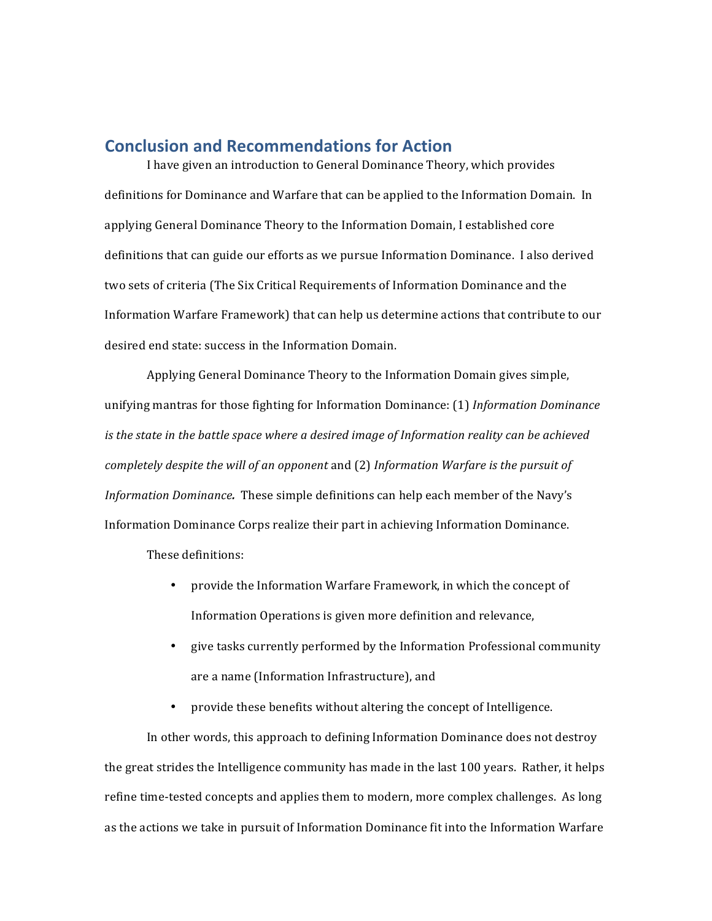## **Conclusion and Recommendations for Action**

I have given an introduction to General Dominance Theory, which provides definitions for Dominance and Warfare that can be applied to the Information Domain. In applying General Dominance Theory to the Information Domain, I established core definitions that can guide our efforts as we pursue Information Dominance. I also derived two sets of criteria (The Six Critical Requirements of Information Dominance and the Information Warfare Framework) that can help us determine actions that contribute to our desired end state: success in the Information Domain.

Applying General Dominance Theory to the Information Domain gives simple, unifying mantras for those fighting for Information Dominance: (1) *Information Dominance is* the state in the battle space where a desired image of Information reality can be achieved *completely despite the will of an opponent* and (2) *Information Warfare is the pursuit of Information Dominance*. These simple definitions can help each member of the Navy's Information Dominance Corps realize their part in achieving Information Dominance.

These definitions:

- provide the Information Warfare Framework, in which the concept of Information Operations is given more definition and relevance,
- give tasks currently performed by the Information Professional community are a name (Information Infrastructure), and
- provide these benefits without altering the concept of Intelligence.

In other words, this approach to defining Information Dominance does not destroy the great strides the Intelligence community has made in the last 100 years. Rather, it helps refine time-tested concepts and applies them to modern, more complex challenges. As long as the actions we take in pursuit of Information Dominance fit into the Information Warfare